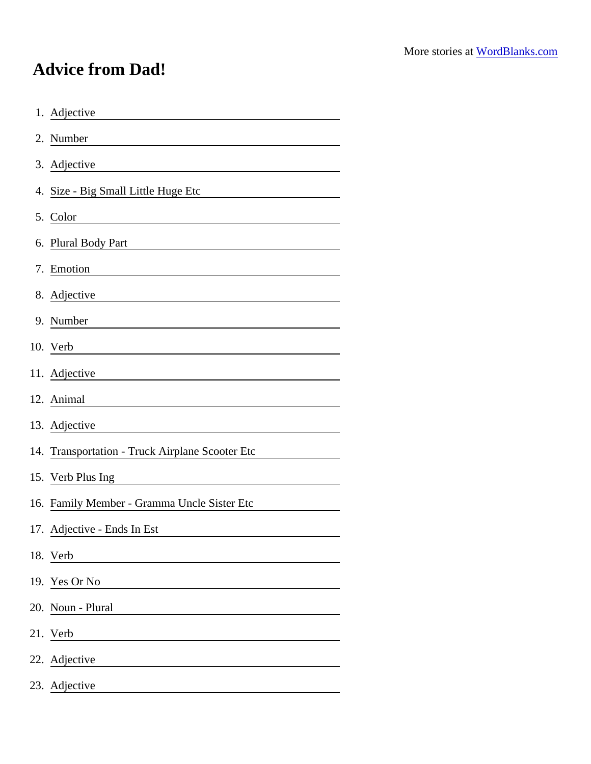## Advice from Dad!

| 1. Adjective                                                                                                                                |  |
|---------------------------------------------------------------------------------------------------------------------------------------------|--|
| 2. Number<br><u> 1989 - Johann Barn, mars ann an t-Amhain Aonaich an t-Aonaich an t-Aonaich ann an t-Aonaich ann an t-Aonaich</u>           |  |
| 3. Adjective<br><u> 1980 - Andrea Station Barbara, amerikan personal (h. 1980).</u>                                                         |  |
| 4. Size - Big Small Little Huge Etc                                                                                                         |  |
| 5. Color                                                                                                                                    |  |
| 6. Plural Body Part<br><u> 1980 - Johann Barn, mars eta bainar eta bainar eta baina eta baina eta baina eta baina eta baina eta baina e</u> |  |
| 7. Emotion<br><u> 1980 - Johann Barn, mars ann an t-Amhain Aonaich an t-Aonaich an t-Aonaich ann an t-Aonaich ann an t-Aonaich</u>          |  |
| 8. Adjective<br><u> 1980 - Johann Barn, mars ann an t-Amhain Aonaich an t-Aonaich an t-Aonaich ann an t-Aonaich ann an t-Aonaich</u>        |  |
| 9. Number                                                                                                                                   |  |
|                                                                                                                                             |  |
| 11. Adjective                                                                                                                               |  |
| 12. Animal                                                                                                                                  |  |
| 13. Adjective<br><u> 1980 - Johann Stoff, deutscher Stoffen und der Stoffen und der Stoffen und der Stoffen und der Stoffen und der</u>     |  |
| 14. Transportation - Truck Airplane Scooter Etc                                                                                             |  |
| 15. Verb Plus Ing<br><u> 1980 - Jan Stein Stein Stein Stein Stein Stein Stein Stein Stein Stein Stein Stein Stein Stein Stein Stein S</u>   |  |
| 16. Family Member - Gramma Uncle Sister Etc                                                                                                 |  |
| 17. Adjective - Ends In Est                                                                                                                 |  |
| 18. Verb                                                                                                                                    |  |
| 19. Yes Or No                                                                                                                               |  |
| 20. Noun - Plural                                                                                                                           |  |
| 21. Verb                                                                                                                                    |  |
| 22. Adjective                                                                                                                               |  |
| 23. Adjective                                                                                                                               |  |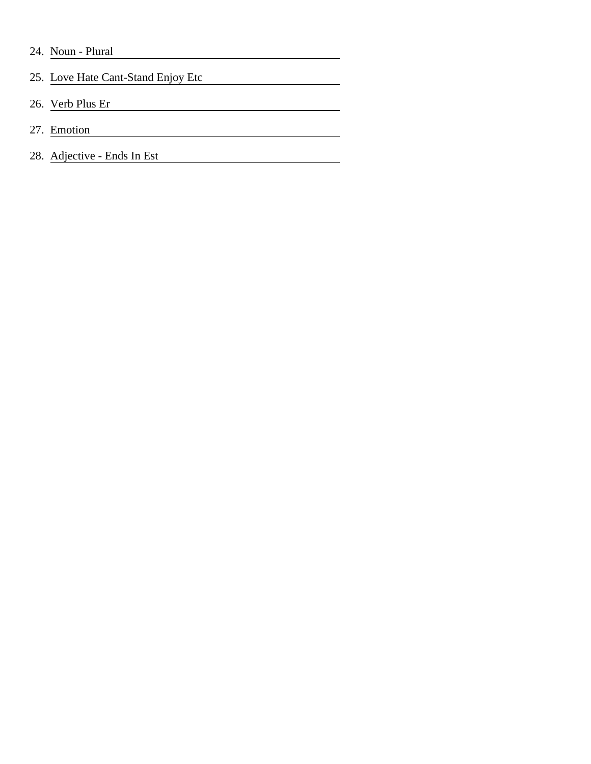- 24. Noun Plural
- 25. Love Hate Cant-Stand Enjoy Etc

- 26. Verb Plus Er
- 27. Emotion
- 28. Adjective Ends In Est